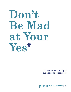# Don't **Be Mad at Your Yes** \*

\*A look into the reality of our yes and no responses

JENNIFER MAZZOLA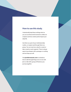#### How to use this study.

I intentionally kept these writings short so you can use these brief moments to reflect on scripture and how certain points impact your daily life.

Use them as a part of your individual daily routine, or maybe read through them as a group. You can read one a day for a week or take a week on each segment. There is always space to go deeper with a passage or a writing, and we hope you will.

Visit **jennifermazzola.com** to schedule a time to talk through things one-on-one with Jenn or talk with a group of friends as you journey together.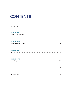# **CONTENTS**

| Introduction 12      |
|----------------------|
| <b>SECTION ONE</b>   |
|                      |
| <b>SECTION TWO</b>   |
|                      |
| <b>SECTION THREE</b> |
|                      |
| <b>SECTION FOUR</b>  |
|                      |
|                      |
|                      |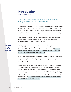# Introduction

Read Matthew 5:33-37

#### *"All you need to say is simply 'Yes' or 'No'; anything beyond this comes from the evil one." – Jesus, Matthew 5:37*

This passage, in context, is in a litany of segments where Jesus is addressing various dynamics. This particular verse is set at the end of a little piece I like to call "How to Handle Your Oath/Your Word." When we say yes or no to a request, we are, in a sense, giving our oath. I realize we use words like "promise" or "swear" to bring gravity to the commitment, but essentially every yes or no should simply be that.

There were two instances where this passage from Jesus' Sermon on the Mount became deeply applicable to me. Later, I would realize how consistently I struggled to simply let my yes be yes and my no be no.

The first moment was talking with a friend in my office. She was frustrated with her adult child's behavior, and yet, she was also supporting them in several ways. I listened carefully before responding, "Don't be mad at your yes." If you want to help someone, you should do so without strings attached and without later complaining about the very thing *you* chose to do.

Not even a few days later, I sat in my car angry over a bridal shower I was throwing. As I was explaining to my steering wheel that the bride-to-be was not being as considerate and grateful as I would have liked, I heard, "Don't be mad at your yes." (I love when God throws my own advice back at me.)

We get "mad at our yes" more often than we realize. We agree to go somewhere and then complain. We volunteer and then jump at reasons to bail. We have children and then get mad when they act like children. We give someone a gift or help them out and then get frustrated when their response doesn't meet our expectations. We say yes to a job and a paycheck but complain when it's work. We get on social media only to be shocked and upset at what people post. We made these choices, and I believe life has the potential to become way less frustrating when we learn not to be mad at our yes.

Don't be mad at your yes.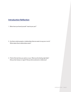## Introduction Reflection

1. When have you found yourself "mad at your yes?"

2. Are there certain people or relationships that are easier to say yes or no to? What makes those relationships easier?

3. Think of the last time you said no or yes. What was the feeling right after? Did you feel release or regret? Did you feel excitement or bitterness?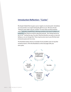## Introduction Reflection: "Cycles"

We all get irritated that we gave a yes or regret a no at some point. Sometimes we overcommit or we regret sharing the gift of our yes. We have all said, "Dang it! I wish I didn't say yes, to that!" It's more when we find ourselves angry, habitually complaining or allowing ourselves to be stuck in patterns of martyrdom that I think we need to step back and ask, "Am I being mad at my yes or no?" And by the way, if we don't like the direction our yeses or noes are taking us, we can change that. There may be some noes in your life that need to become yeses and vice versa.

The illustration below shows an example of one possible cycle we may find ourselves stuck in. Fill in the illustrations on the next page with your own cycles.

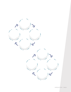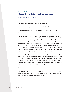# Don't Be Mad at Your Yes SECTION ONE

Read Luke 15:11-32, Matthew 20:1-6

Ever helped someone and they didn't return the favor?

Have you always had your own internal sense of right and wrong or what's fair?

Do you find yourself critical of others? Feeling like they are "getting away with something?"

Many of us are familiar with the story of the Prodigal Son. There are two sons. The younger one decides to ask for his inheritance early (lots of insulting layers within this request), and the other stays with his father, pressing into the family business (seemingly noble). The younger son crashes his life and prepares to return home to beg for a place in his father's home once again. As the younger son is rehearsing his speech, his father runs down the driveway to meet him, rejoicing that he is home. The older brother, still faithfully working, hears the news. Livid, he stands out on the front porch pouting as the celebration inside rolls on. Once again, the father seeks out his son, imploring him to come inside. I'm not sure if he ever did or not.

Jesus tells another story of a landowner who needs workers for his vineyard. He goes out early in the morning to find workers and offers them a day's wages. Later, he needs more help. He goes and gets more workers, and later again, right before closing time, he grabs a few more fellas for work. At the end of the day, he pays all of them the same. The guys who worked all day made the same amount of money as the ones who worked only at the end of the day.

Please, someone else see how crazy all this is.

I am an older brother/early vineyard worker. Which means I am often mad at my yes. And, like the older brother and the early workers, I question God about His idea of fair, often ending up "pouting on the front porch."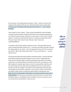One morning, I was venting about yet another "unfair" scenario in my life, and I related it to the parable of the two sons. My friend kindly made an observation. "Ya know, Jenn, the problem with being mad on the porch is ... you're missing the party."

I have missed so many "parties." I have carried a bad attitude, had my thoughts consumed and been divisive and bitter while life went on and parties happened. I can't tell you how many times I felt stuck in a crazy cycle of "that's not fair." But the reality is: I could have worked just the last hour. I could have squandered my life. Those just weren't the choices I made. Why am I mad? I said yes to something different.

A coworker made a jab at another coworker one day, "There goes Bob (not real name), leaving early again. Must be nice." I was new to the office and hadn't learned the culture quite yet, so I asked, "Is he not supposed to leave early? Do you have to stay until 6?" After a little stammering I asked, "So you could leave too … you just choose not to?"

The parent that helps their adult child that I mentioned earlier—I shared with them that I totally understood why they helped so much. It wasn't really about their child, but more that they didn't want their grandchild to go without. And while I could make a case that enabling is a terrible long-term plan, the reality was, if she felt strongly she needed to give money or time so her grandchild could have and do certain things, then she didn't have to justify that choice to me. But she also shouldn't punish her daughter. This pattern in their relationship had lasted years. The daughter found herself in a tight spot, mom rescued, vowing "not next time," and repeat, repeat, repeat. At any point, either of them could stop the cycle. When we are in a repeat pattern of frustration, we need to examine our yes and no in the scenario. If we choose to work all day or just the last hour, if we leave home and beg to return or we faithfully remain in the field, we have to accept our yes or no, and we have to accept others' choices as well.

Why am I mad? I said yes to something different.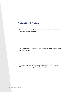#### Section One Reflection

1. Have you "missed any parties" because you were frustrated that someone was "getting away with something?"

2. Are you holding on to bitterness or resentment toward someone because you can't own your yes?

3. How do you typically respond when something that's "not fair" happens? When someone does not get "what they deserve?"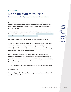#### SECTION TWO

# Don't Be Mad at Your No

Read Phillippians 2:12-18 *(A good reminder about watiching our attitude.)*

I love that Jesus makes sure to include either yes or no in his advice on making commitments. I think we too often get this image of Christianity as a never-ending series of yeses. God gave us options for a reason. In fact, humanity gets options right out of the gate.

God is the original designer of "Eat This, Not That." He gives us choices because that is the only true path toward love and freedom. A forced yes or no has very little power, but a chosen commitment, that packs a punch.

Just as we can end up frustrated by our yes, we can also be angry at our no.

We complain about not having friends, but we find excuses to not invest in others. We say no to investing in our marriage and then wonder why it's not vibrant. We say no to getting up and exercising and then wonder why we can't drop some weight. We go to churches and whine about "not being fed," but we don't take the time to feed ourselves. Again, choices we make.

Being a pastor is nothing like I thought it would be. It's this weird space of counselor, motivational speaker, life coach, event planner, scholar, theologian, healer, social coordinator, project manager … I could keep going. It's an odd job. In ministry, there is a list of conversations you end up having often, and one item on that list goes something like this:

"I haven't been to small group in three weeks, and not one person has called me."

Another might be:

"I keep seeing people grabbing coffee or hanging out, and I am never invited. This church isn't very friendly."

Chocies are the only true path toward love and freedom.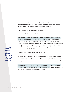Early in ministry, I felt a pressure to "fix" these situations, but I noticed over time the same conversations would often take place with the same people. I noticed something else, too. I started to ask some clarifying questions.

"Have you reached out to anyone in your group?"

"Have you invited anyone to coffee?"

We all want to be seen, noticed and thought of, but sometimes we want those things without being willing to see, notice or think of others. This is when we are mad at our no. We don't volunteer. We don't reach out. We don't accept invitations. We don't extend invitations. We don't do these things for many reasons (mostly fear and insecurity), but at the end of the day, that is our no, so it's ours to own. We want to be on the guest list without ever being the host. We want to be "in the know" without actually being "known."

Just like with our yes, we need to be observant of our no.

Just like with our yes, we need to be observant of our no.

No to quality time with our children has implications. No to counseling when our marriage is in trouble might be a missed opportunity. There are good noes, too. No to that temptation can move us one step forward rather than another repeat step back. No to chasing a title or paycheck may ultimately lead to true fulfillment.

When Jesus says, " 'Yes' or 'No'; anything beyond this comes from the evil one," He is reminding us that these two words are powerful tools. It's not considering the stuff "beyond" them that can result in dysfunction.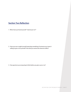## **Section Two Reflection**

1. When have you found yourself "mad at your no?"

2. Have you ever caught yourself expecting something of someone you weren't willing to give or do yourself? How did you resolve this internal conflict?

3. How good are you at pausing to think before you give a yes or no?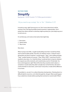# **Simplify** Read James 1:19-20, Proverbs 17:27 *(More good reminders.)* SECTION THREE

#### *"All you need to say is simply 'Yes' or 'No'." (Matthew 5:37)*

It sounds so easy, right? Just say yes or no. Don't worry about how it will be received. Don't fret about possible missed moments or opportunities. Don't project how others will feel or what they might say about you. Just simply say yes or no and carry on.

It's not that easy. Let's look at a few tactics that might help.

- 1. Slow down.
- 2. Speak clearly.
- 3. Stay in tune.

Slow down.

When my boys were little, I caught myself yelling more than I would have liked, and it would escalate quickly. One time, for whatever reason, I noticed I wasn't giving them any time to respond. I would request, "Stop," and a millisecond later, "Stop," another fraction of a second, "STop. STOp. STOP!" I went from 0 to 60. I needed to slow down. So, I tried this thing. I would ask them to stop (or whatever the request was at the moment), and I would slowly count to 10 internally. You know what happened, right? Most of the time they would do what I asked, or sometimes I would realize they didn't actually hear me the first time. But when I could remember to slow down, and it wasn't every time, it made all the difference in our home.

The problem is, we aren't in a culture that prizes slowing down. Slowing down is a difficult habit for most of us. Let's think through this, though. What would happen if you waited two minutes before posting that comment on social media? What's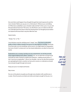the worst that could happen if you thought through that email response for just five more minutes? Before you say yes or no, think about it. What are you committing to? What does availability in your schedule really look like? Is this a yes or no you will feel good about tomorrow? Of course, we will all have a yes or no that we will wish we could take back from time to time but slowing down our thought process before we respond will ensure that is way less often the case.

Speak clearly.

"Simply 'Yes' or 'No.' "

I love that Jesus uses the clarifying word "simply" here. If we have to rationalize, justify or share a million caveats to our yes or no, that might be a red flag. Obviously, if our boss asks us to do something, and we say no, he might expect an explanation, but more of what I've observed is our fear-based addendums we attach to these two words.

Explanations are a courtesy, but they are not a requirement, nor do they provide some magical defense from others' reactions. Yes, we can take that concept too far and build up walls of refusal to explain poor behavior—walking around with an "I don't owe you an explanation" chip on our shoulder—but we can also find ourselves pre-apologizing for both a reaction we have yet to receive or a rationale we should have already thought through and owned.

Keep your yes or no simple and honest.

Stay in tune.

No one on this planet can guide you through every situation with a perfect yes or no plan. Not all scenarios are black and white and simple enough for the yes or no

Keep your yes or no simple and honest.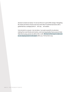decision to stand out clearly. I'm not sure this isn't a part of life's design. Navigating the whats and whens of yeses and noes seems like it would be best done with a guide that has a vantage point of … let's say … all creation.

I do not exist in a vacuum. I am not alone. I can seek counsel for my decisionmaking from wise friends and mentors, and most importantly I have access to God. Take time to pray, journal, be still or take a walk. We have to find ways to make sure we are staying tuned in to the Spirit within you. He has lots to say.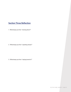## **Section Three Reflection**

1. What keeps you from "slowing down?"

2. What keeps you from "speaking clearly?"

3. What keeps you from "staying tuned in?"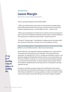#### SECTION FOUR

# Leave Margin

Read Leviticus 23:22, Deuteronomy 24:19

There is a principle mapped out in the Hebrew Bible:

"'When you reap the harvest of your land, do not reap to the very edges of your field or gather the gleanings of your harvest. Leave them for the poor and for the foreigner residing among you. I am the LORD your God.'" Leviticus 23:22

"When you are harvesting in your field and you overlook a sheaf, do not go back to get it. Leave it for the foreigner, the fatherless and the widow, so that the LORD your God may bless you in all the work of your hands." Deuteronomy 24:19

This idea of "leaving margin" is foundational in making sure you have space within your resources to help others. However, for me, it also applies to our time.

Time is an amazing equalizer. It's guaranteed to none of us, and no one can control it. When I am not mindful of my time, I often end up mad at my yes.

Just the other day, I was requested to attend a meeting for work. I work part-time. The decision to work part-time was very intentional. I also have terrible work boundaries. The request for the 7:30 a.m. meeting was something I could do. I was physically capable of attending that meeting. However, as I moved my finger over the screen to RSVP yes, I paused. Yes, I can do this, but is this the highest and best use of my time? More importantly, I'm already irritated I got the request. Will I be more irritated if I shuffle around my morning routine for a meeting that is less than urgent for my role?

If I say yes to something, it requires saying no to something else; that could be time with family, time with friends, the disruption of a routine or even just me-time. These things are totally fine to rearrange, postpone or adjust, but make that a habit and we are in trouble, because these things are not okay to neglect all together.

If I say yes to something, it requires saying no to something else.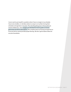I never want to put myself in a position where I have no margin in my schedule. I have to be mindful, or I will allow others to creep in on my field, forcing their schedules and agendas on my land. The only thing that grows in those plots are weeds of bitterness, when margins are intended for God to guide us toward generosity and divine interruptions. We complain about not having enough time as if our yes and no cannot provide proper fencing. We don't get to blame others for our poor boundaries.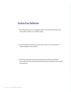### **Section Four Reflection**

1. How intentional are you in managing your time well? How intentional are you with creating "margin" in your daily routine?

2. Do you feel like you leave space in your life for others, or are you driven by outside schedules and to-do lists?

3. How do you typically respond to opportunities to be generous with your time or gifts? How do you typically respond to being interrupted by unexpected circumstances?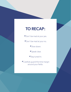# TO RECAP:

\* Don't be mad at your yes.

\* Don't be mad at your no.

\* Slow down.

\* Speak clear.

\* Stay tuned-in.

\* Carefully guard the time margin around your fields.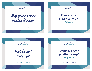

Keep your yes or no simple and honest.

jennifermazzola.com

jennifel

"All you need to say is simply 'Yes' or 'No;'" Matthew 5:37

jennifermazzola.com

**jennifel** 

Don't be mad at your yes.

jennifermazzola.com

jennifel

"Do everything without grumbling or arguing." Philippians 2:14

jennifermazzola.com